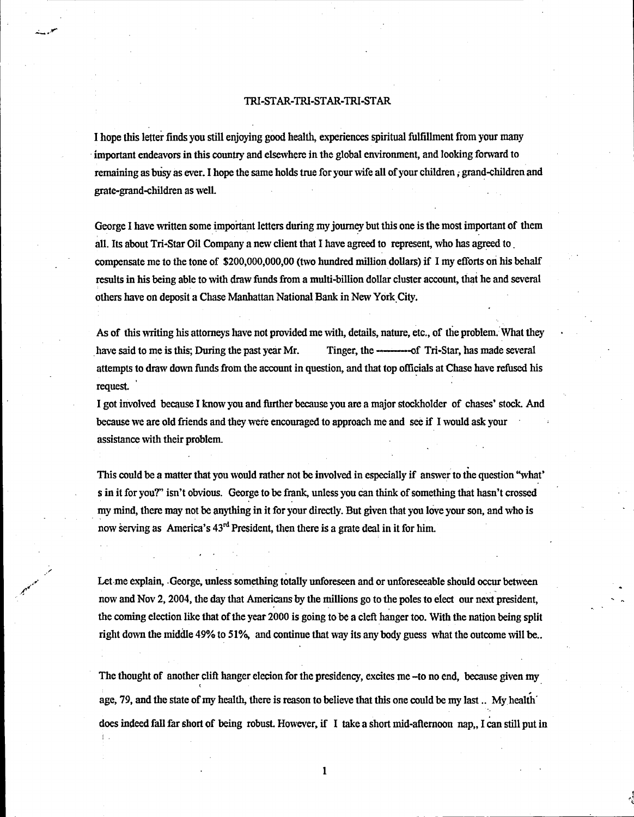## TRI-STAR-TRI-STAR-TRI-STAR

I hope this letter finds you still enjoying good health, experiences spiritual fulfillment from your many · important endeavors in this country and elsewhere in the global environment, and looking forward to remaining as busy as ever. I hope the same holds true for your wife all of your children; grand-children and grate-grand-children as well.

George I have written some important letters during my journey but this one is the most important of them all. Its about Tri•Star Oil Company a new client that I have agreed to represent, who has agreed to . compensate me to the tone of \$200,000,000,00 (two hundred million dollars) if I my efforts ori his behalf results in his being able to with draw funds from a multi-billion dollar cluster account, that he and several others have on deposit a Chase Manhattan National Bank in New York.City.

As of this writing his attorneys have not provided me with, details, nature, etc., of the problem. What they . have said to me is this; During the past year Mr. Tinger, the ---of Tri·Star, has made several attempts to draw down funds from the account in question, and that top officials at Chase have refused his request.

I got involved because I know you and further because you are a major stockholder of chases' stock. And because we are old friends and they were encouraged to approach me and see if I would ask your assistance with their problem.

. . This could be a matter that you would rather not be involved in especially if answer to the question ''what' s in it for you?" isn't obvious. George to be frank, unless you can think of something that hasn't crossed my mind, there may not be anything in it for your directly. But given that you love your son, and who is now serving as America's  $43<sup>rd</sup>$  President, then there is a grate deal in it for him.

Let me explain, George, unless something totally unforeseen and or unforeseeable should occur between now and Nov 2, 2004, the day that Americans by the millions go to the poles to elect our next president, the coming election like that of the year 2000 is going to be a cleft hanger too. With the nation being split right down the middle 49% to 51%, and continue that way its any body guess what the outcome will be..

*/* 

The thought of another clift hanger elecion for the presidency, excites me -to no end, because given my  $\ddot{\phantom{0}}$ age, 79, and the state of my health, there is reason to believe that this one could be my last .. My health' does indeed fall far short of being robust. However, if I take a short mid-afternoon nap,, I Can still put in l.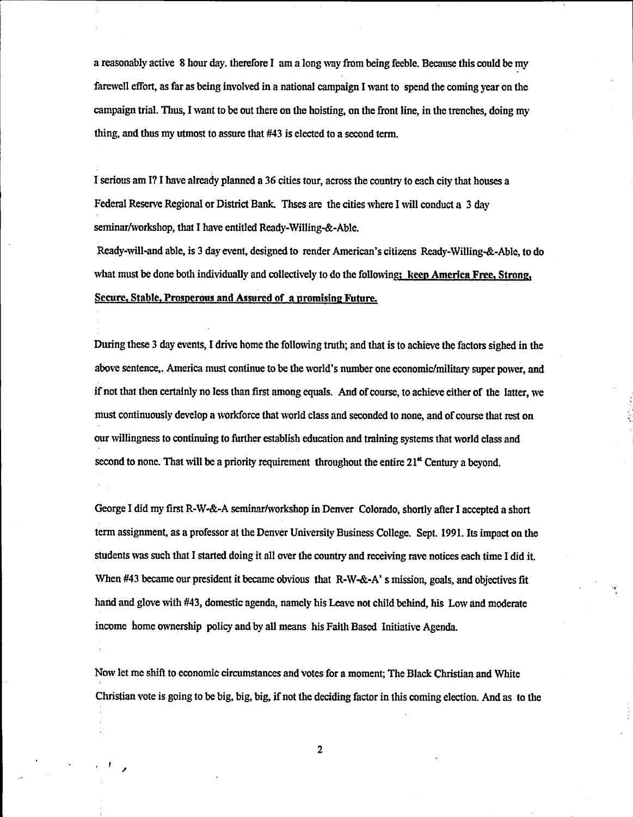a reasonably active 8 hour day. therefore I am a long way from being feeble. Because this could be my farewell effort, as far as being involved in a national campaign I want to spend the coming year on the campaign trial. Thus, I want to be out there on the hoisting, on the front line, in the trenches, doing my thing, and thus my utmost to assure that #43 is elected to a second term.

I serious am I? I have already planned a 36 cities tour, across the country to each city that houses a Federal Reserve Regional or District Bank. Thses are the cities where I will conduct a 3 day seminar/workshop, that I have entitled Ready-Willing-&-Able.

Ready-will-and able, is 3 day event, designed to render American's citizens Ready-Willing-&-Able, to do what must be done both individually and collectively to do the following; keep America Free, Strong, Secure, Stable, Prosperous and Assured of a promising Future.

During these 3 day events, I drive home the following truth; and that is to achieve the factors sighed in the above sentence,. America must continue to be the world's number one economic/military super power, and if not that then certainly no less than first among equals. And of course, to achieve either of the latter, we must continuously develop a workforce that world class and seconded to none, and of course that rest on our willingness to continuing to further establish education and training systems that world class and second to none. That will be a priority requirement throughout the entire  $21<sup>\mu</sup>$  Century a beyond.

George I did my first R-W-&-A seminar/workshop in Denver Colorado, shortly after I accepted a short term assignment, as a professor at the Denver University Business College. Sept. 1991. Its impact on the students was such that I started doing it all over the country and receiving rave notices each time I did it. When #43 became our president it became obvious that R-W-&-A' s mission, goals, and objectives fit hand and glove with #43, domestic agenda, namely his Leave not child behind, his Low and moderate income home ownership policy and by all means his Faith Based Initiative Agenda.

Now let me shift to economic circumstances and votes for a moment; The Black Christian and White Christian vote is going to be big, big, big, if not the deciding factor in this coming election. And as to the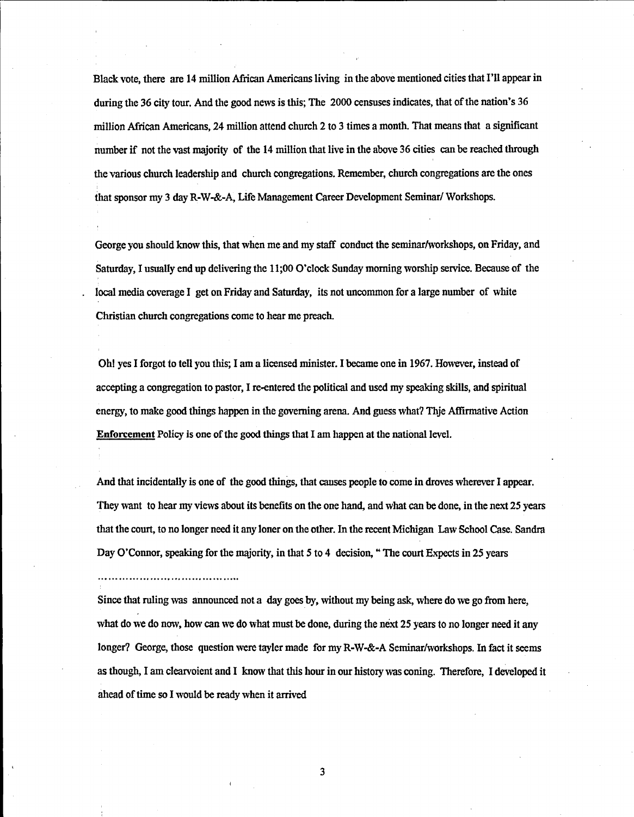Black vote, there are 14 million African Americans living in the above mentioned cities that I'll appear in during the 36 city tour. And the good news is this; The 2000 censuses indicates, that of the nation's 36 million African Americans, 24 million attend church 2 to 3 times a month. That means that a significant number if not the vast majority of the 14 million that live in the above 36 cities can be reached through the various church leadership and church congregations. Remember, church congregations are the ones that sponsor my 3 day R-W-&-A, Life Management Career Development Seminar/ Workshops.

George you should know this, that when me and my staff conduct the seminar/workshops, on Friday, and Saturday, I usually end up delivering the 11;00 O'clock Sunday morning worship service. Because of the local media coverage I get on Friday and Saturday, its not uncommon for a large number of white Christian church congregations come to hear me preach.

Ohl yes I forgot to tell you this; I am a licensed minister. I became one in 1967. However, instead of accepting a congregation to pastor, I re-entered the political and used my speaking skills, and spiritual energy, to make good things happen in the governing arena. And guess what? Thje Affirmative Action Enforcement Policy is one of the good things that I am happen at the national level.

And that incidentally is one of the good things, that causes people to come in droves wherever I appear. They want to hear my views about its benefits on the one hand, and what can be done, in the next 25 years that the court. to no longer need it any loner on the other. In the recent Michigan Law School Case. Sandra Day O'Connor, speaking for the majority, in that *S* to 4 decision, "The court Expects in *25* years

Since that ruling was announced not a day goes by, without my being ask, where do we go from here, what do we do now, how can we do what must be done, during the next 25 years to no longer need it any longer? George, those question were tayler made for my R-W-&-A Seminar/workshops. In fact it seems as though, I am clearvoient and I know that this hour in our history was coning. Therefore, I developed it ahead of time so I would be ready when it arrived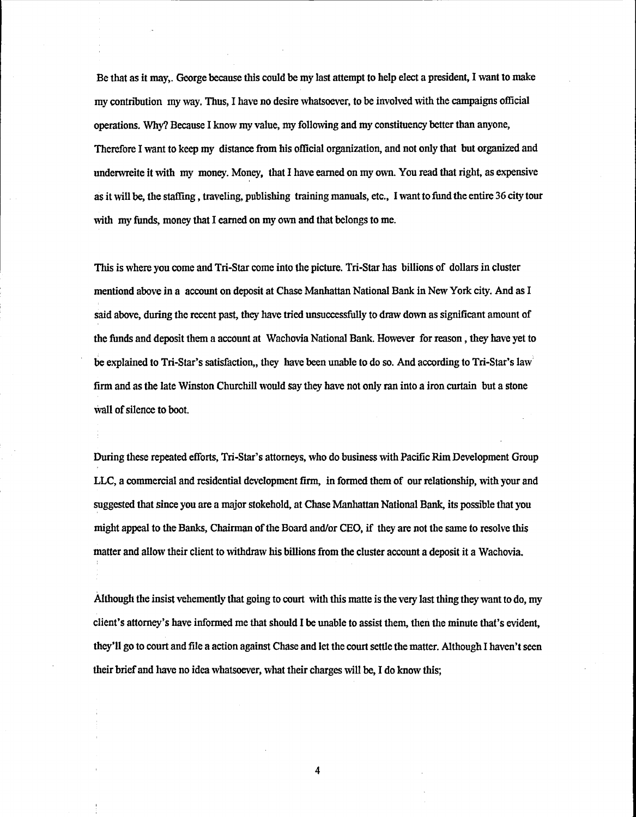Be that as it may,. George because this could be my last attempt to help elect a president, I want to make my contribution my way. Thus, I have no desire whatsoever, to be involved with the campaigns official operations. Why? Because I know my value, my following and my constituency better than anyone, Therefore I want to keep my distance from his official organization, and not only that but organized and underwreite it with my money. Money, that I have earned on my own. You read that right, as expensive as it will be, the staffing, traveling, publishing training manuals, etc., I want to fund the entire 36 city tour with my funds, money that I earned on my own and that belongs to me.

This is where you come and Tri-Star come into the picture. Tri-Star has billions of dollars in cluster mentiond above in a account on deposit at Chase Manhattan National Bank in New York city. And as I said above, during the recent past, they have tried unsuccessfully to draw down as significant amount of the funds and deposit them a account at Wachovia National Bank. However for reason , they have yet to be explained to Tri-Star's satisfaction,, they have been unable to do so. And according to Tri-Star's law firm and as the late Winston Churchill would say they have not only ran into a iron curtain but a stone Wall of silence to boot.

During these repeated efforts, Tri-Star's attorneys, who do business with Pacific Rim Development Group LLC, a commercial and residential development firm, in formed them of our relationship, with your and suggested that since you are a major stokehold, at Chase Manhattan National Bank, its possible that you might appeal to the Banks, Chairman of the Board and/or CEO, if they are not the same to resolve this matter and allow their client to withdraw his billions from the cluster account a deposit it a Wachovia .

.Although the insist vehemently that going to court with this matte is the very last thing they want to do, my client's attorney's have informed me that should I be unable to assist them, then the minute that's evident, they'll go to court and file a action against Chase and let the court settle the matter. Although I haven't seen their brief and have no idea whatsoever, what their charges will be, I do know this;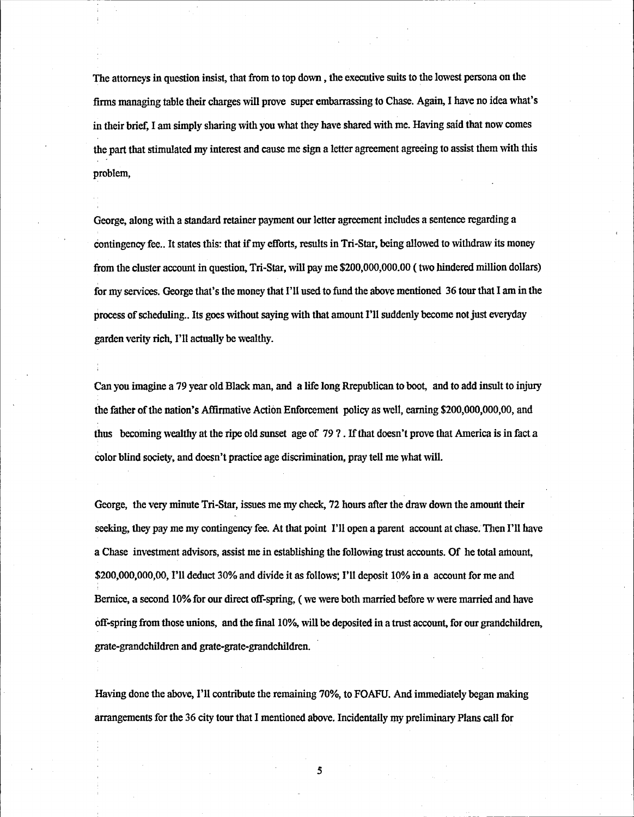The attorneys in question insist, that from to top down , the executive suits to the lowest persona on the finns managing table their charges will prove super embarrassing to Chase. Again, I have no idea what's in their brief, I am simply sharing with you what they have shared with me. Having said that now comes the part that stimulated my interest and cause me sign a letter agreement agreeing to assist them with this problem,

George, along with a standard retainer payment our letter agreement includes a sentence regarding a contingency fee .. It states this: that if my efforts, results in Tri-Star, being allowed to withdraw its money from the cluster account in question, Tri-Star, will pay me \$200,000,000.00 (two hindered million dollars) for my setvices. George that's the money that I'll used to fund the above mentioned 36 tour that I am in the process of scheduling.. Its goes without saying with that amount I'll suddenly become not just everyday garden verity rich, I'll actually be wealthy.

Can you imagine a 79 year old Black man, and a life long Rrepublican to boot, and to add insult to injury the father of the nation's Affirmative Action Enforcement policy as welt, earning \$200,000,000,00, and thus becoming wealthy at the ripe old sunset age of 79 ? . If that doesn't prove that America is in fact a oolor blind society, and doesn't practice age discrimination, pray tell me what will.

George, the very minute Tri-Star, issues me my check, 72 hours after the draw down the amount their seeking, they pay me my contingency fee. At that point I'll open a parent account at chase. Then I'll have a Chase investment advisors, assist me in establishing the following trust accounts. Of he total amount, \$200,000,000,00, I'll deduct 30% and divide it as follows: I'll deposit 10% in a account for me and Bemice, a second 10% for our direct off-spring, ( we were both married before w were married and have off-spring from those unions, and the final I 0%, will be deposited in a trust account, for our grandchildren, grate-grandchildren and grate-grate-grandchildren.

Having done the above, I'll contribute the remaining 70%, to FOAFU. And immediately began making arrangements for the 36 city tour that I mentioned above. Incidentally my preliminary Plans call for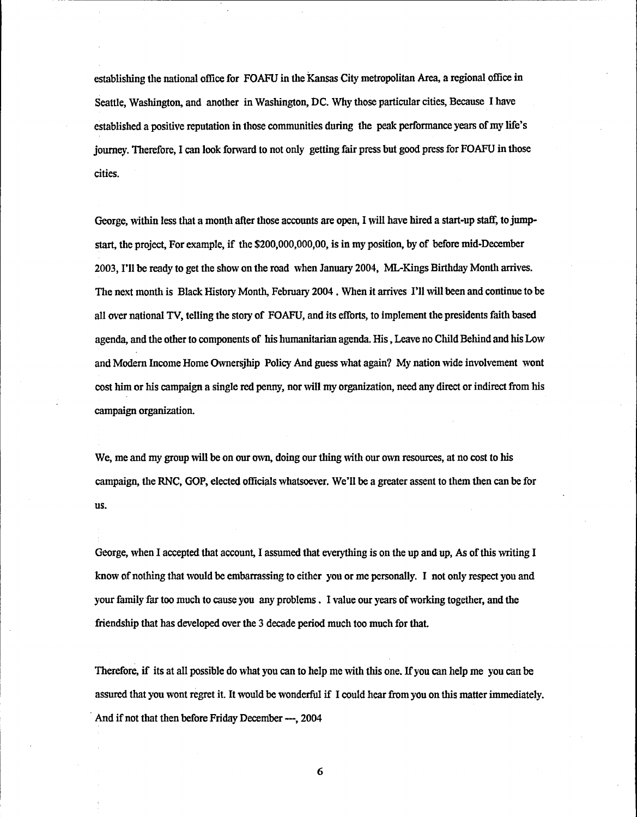establishing the national office for FOAFU in the Kansas City metropolitan Area, a regional office in Seattle, Washington, and another in Washington, DC. Why those particular cities, Because I have established a positive reputation in those communities during the peak performance years of my life's journey. Therefore, I can look forward to not only getting fair press but good press for FOAFU in those cities.

George, within less that a month after those accounts are open, I will have hired a start-up staff, to jumpstart, the project, For example, if the \$200,000,000,00, is in my position, by of before mid-December 2003, I'll be ready to get the show on the road when January 2004, ML-Kings Birthday Month arrives. The next month is Black History Month, February 2004 . When it arrives I'll will been and continue to be all over national TV, telling the story of FOAFU, and its efforts, to implement the presidents faith based agenda, and the other to components of his humanitarian agenda. His, Leave no Child Behind and his Low and Modem Income Home Ownersjhip Policy And guess what again? My nation wide involvement wont cost him or his campaign a single red penny, nor will my organization, need any direct or indirect from bis campaign organization.

We, me and my group will be on our own, doing our thing with our own resources, at no cost to his campaign, the RNC, GOP, elected officials whatsoever. We'll be a greater assent to them then can be for us.

George, when I accepted that account, I assumed that evetything is on the up and up, As of this writing I know of nothing that would be embarrassing to either you or me personally. I not only respect you and your family far too much to cause you any problems . I value our years of working together, and the friendship that has developed over the 3 decade period much too much for that

Therefore, if its at all possible do what you can to help me with this one. If you can help me you can be assured that you wont regret it. It would be wonderful if I could hear from you on this matter immediately. And if not that then before Friday December ---, 2004